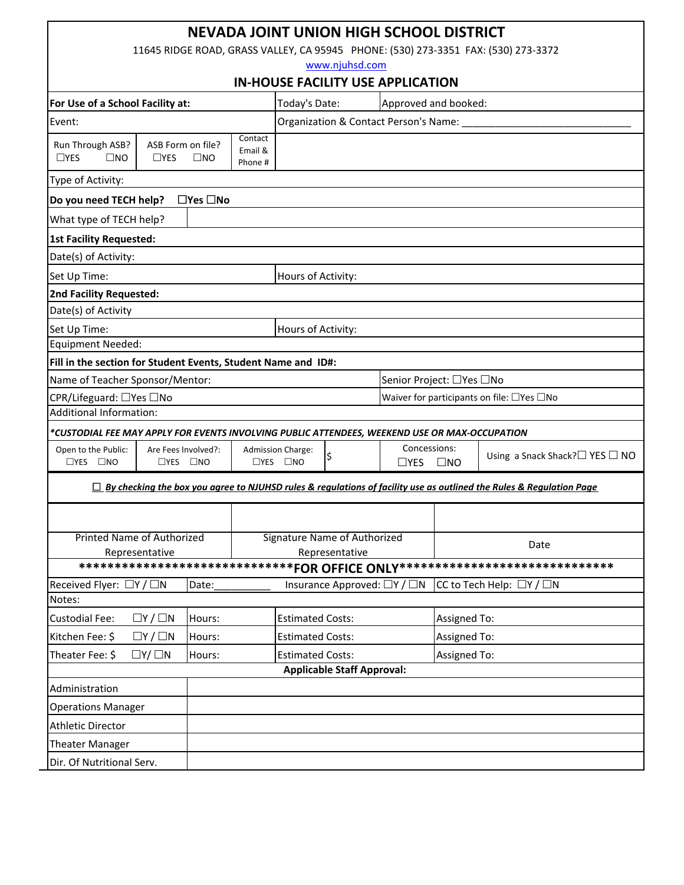| <b>NEVADA JOINT UNION HIGH SCHOOL DISTRICT</b>                                                                             |                      |                                                |                               |                                                        |  |                                               |                          |                                                 |  |
|----------------------------------------------------------------------------------------------------------------------------|----------------------|------------------------------------------------|-------------------------------|--------------------------------------------------------|--|-----------------------------------------------|--------------------------|-------------------------------------------------|--|
| 11645 RIDGE ROAD, GRASS VALLEY, CA 95945 PHONE: (530) 273-3351 FAX: (530) 273-3372                                         |                      |                                                |                               |                                                        |  |                                               |                          |                                                 |  |
| www.njuhsd.com                                                                                                             |                      |                                                |                               |                                                        |  |                                               |                          |                                                 |  |
| <b>IN-HOUSE FACILITY USE APPLICATION</b>                                                                                   |                      |                                                |                               |                                                        |  |                                               |                          |                                                 |  |
| For Use of a School Facility at:                                                                                           |                      |                                                |                               | Approved and booked:<br>Today's Date:                  |  |                                               |                          |                                                 |  |
| Event:                                                                                                                     |                      |                                                |                               | Organization & Contact Person's Name:                  |  |                                               |                          |                                                 |  |
| Run Through ASB?<br>ASB Form on file?<br>$\Box$ YES<br>$\square$ NO<br>$\Box$ YES<br>$\square$ NO                          |                      |                                                | Contact<br>Email &<br>Phone # |                                                        |  |                                               |                          |                                                 |  |
| Type of Activity:                                                                                                          |                      |                                                |                               |                                                        |  |                                               |                          |                                                 |  |
| $\Box$ Yes $\Box$ No<br>Do you need TECH help?                                                                             |                      |                                                |                               |                                                        |  |                                               |                          |                                                 |  |
| What type of TECH help?                                                                                                    |                      |                                                |                               |                                                        |  |                                               |                          |                                                 |  |
| <b>1st Facility Requested:</b>                                                                                             |                      |                                                |                               |                                                        |  |                                               |                          |                                                 |  |
| Date(s) of Activity:                                                                                                       |                      |                                                |                               |                                                        |  |                                               |                          |                                                 |  |
| Set Up Time:<br>Hours of Activity:                                                                                         |                      |                                                |                               |                                                        |  |                                               |                          |                                                 |  |
| <b>2nd Facility Requested:</b>                                                                                             |                      |                                                |                               |                                                        |  |                                               |                          |                                                 |  |
| Date(s) of Activity                                                                                                        |                      |                                                |                               |                                                        |  |                                               |                          |                                                 |  |
| Hours of Activity:<br>Set Up Time:                                                                                         |                      |                                                |                               |                                                        |  |                                               |                          |                                                 |  |
| <b>Equipment Needed:</b>                                                                                                   |                      |                                                |                               |                                                        |  |                                               |                          |                                                 |  |
| Fill in the section for Student Events, Student Name and ID#:                                                              |                      |                                                |                               |                                                        |  |                                               |                          |                                                 |  |
| Name of Teacher Sponsor/Mentor:                                                                                            |                      |                                                |                               |                                                        |  |                                               | Senior Project: □Yes □No |                                                 |  |
| CPR/Lifeguard: □Yes □No                                                                                                    |                      |                                                |                               |                                                        |  | Waiver for participants on file: □Yes □No     |                          |                                                 |  |
| Additional Information:                                                                                                    |                      |                                                |                               |                                                        |  |                                               |                          |                                                 |  |
| *CUSTODIAL FEE MAY APPLY FOR EVENTS INVOLVING PUBLIC ATTENDEES, WEEKEND USE OR MAX-OCCUPATION                              |                      |                                                |                               |                                                        |  |                                               |                          |                                                 |  |
| Open to the Public:<br>$\Box$ YES $\Box$ NO                                                                                | $\Box$ YES $\Box$ NO | Are Fees Involved?:                            |                               | <b>Admission Charge:</b><br>\$<br>$\Box$ YES $\Box$ NO |  | Concessions:<br>$\square$ YES<br>$\square$ NO |                          | Using a Snack Shack? $\square$ YES $\square$ NO |  |
| $\Box$ By checking the box you agree to NJUHSD rules & regulations of facility use as outlined the Rules & Regulation Page |                      |                                                |                               |                                                        |  |                                               |                          |                                                 |  |
|                                                                                                                            |                      |                                                |                               |                                                        |  |                                               |                          |                                                 |  |
| Printed Name of Authorized<br>Representative                                                                               |                      | Signature Name of Authorized<br>Representative |                               |                                                        |  | Date                                          |                          |                                                 |  |
| ******************************FOR OFFICE ONLY******************************                                                |                      |                                                |                               |                                                        |  |                                               |                          |                                                 |  |
| Received Flyer: □Y / □N<br>CC to Tech Help: $\Box Y / \Box N$<br>Date:<br>Insurance Approved: $\Box Y / \Box N$            |                      |                                                |                               |                                                        |  |                                               |                          |                                                 |  |
| Notes:                                                                                                                     |                      |                                                |                               |                                                        |  |                                               |                          |                                                 |  |
| <b>Custodial Fee:</b>                                                                                                      | $\Box Y / \Box N$    | Hours:                                         |                               | <b>Estimated Costs:</b>                                |  |                                               | Assigned To:             |                                                 |  |
| Kitchen Fee: \$                                                                                                            | $\Box Y / \Box N$    | Hours:                                         |                               | <b>Estimated Costs:</b>                                |  |                                               | <b>Assigned To:</b>      |                                                 |  |
| Theater Fee: \$<br>$\Box Y/\Box N$<br>Hours:                                                                               |                      |                                                |                               | <b>Estimated Costs:</b>                                |  |                                               | Assigned To:             |                                                 |  |
| <b>Applicable Staff Approval:</b>                                                                                          |                      |                                                |                               |                                                        |  |                                               |                          |                                                 |  |
| Administration                                                                                                             |                      |                                                |                               |                                                        |  |                                               |                          |                                                 |  |
| <b>Operations Manager</b>                                                                                                  |                      |                                                |                               |                                                        |  |                                               |                          |                                                 |  |
| <b>Athletic Director</b>                                                                                                   |                      |                                                |                               |                                                        |  |                                               |                          |                                                 |  |
| <b>Theater Manager</b>                                                                                                     |                      |                                                |                               |                                                        |  |                                               |                          |                                                 |  |
| Dir. Of Nutritional Serv.                                                                                                  |                      |                                                |                               |                                                        |  |                                               |                          |                                                 |  |